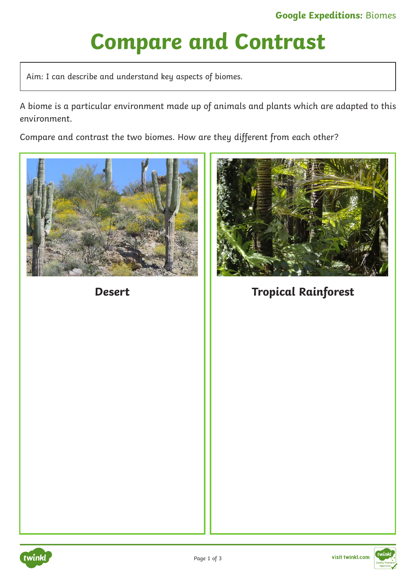# **Compare and Contrast**

Aim: I can describe and understand key aspects of biomes.

A biome is a particular environment made up of animals and plants which are adapted to this environment.

Compare and contrast the two biomes. How are they different from each other?





**Desert Tropical Rainforest** 



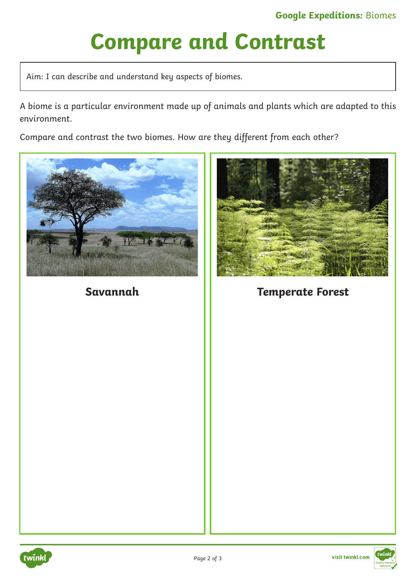# **Compare and Contrast**

Aim: I can describe and understand key aspects of biomes.

A biome is a particular environment made up of animals and plants which are adapted to this environment.

Compare and contrast the two biomes. How are they different from each other?





**Savannah Temperate Forest**



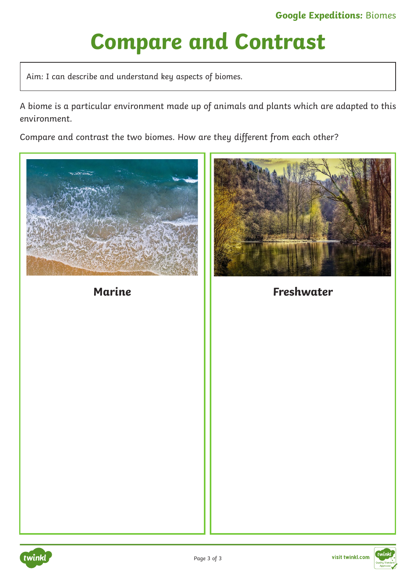# **Compare and Contrast**

Aim: I can describe and understand key aspects of biomes.

A biome is a particular environment made up of animals and plants which are adapted to this environment.

Compare and contrast the two biomes. How are they different from each other?





**Marine Freshwater**



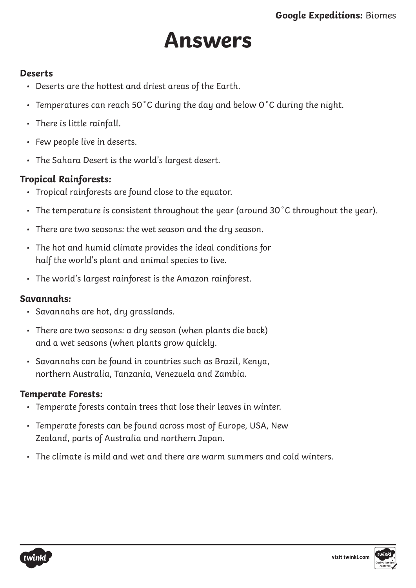## **Answers**

#### **Deserts**

- Deserts are the hottest and driest areas of the Earth.
- Temperatures can reach 50˚C during the day and below 0˚C during the night.
- There is little rainfall.
- Few people live in deserts.
- The Sahara Desert is the world's largest desert.

### **Tropical Rainforests:**

- Tropical rainforests are found close to the equator.
- The temperature is consistent throughout the year (around 30˚C throughout the year).
- There are two seasons: the wet season and the dry season.
- The hot and humid climate provides the ideal conditions for half the world's plant and animal species to live.
- The world's largest rainforest is the Amazon rainforest.

#### **Savannahs:**

- Savannahs are hot, dry grasslands.
- There are two seasons: a dry season (when plants die back) and a wet seasons (when plants grow quickly.
- Savannahs can be found in countries such as Brazil, Kenya, northern Australia, Tanzania, Venezuela and Zambia.

#### **Temperate Forests:**

- Temperate forests contain trees that lose their leaves in winter.
- Temperate forests can be found across most of Europe, USA, New Zealand, parts of Australia and northern Japan.
- The climate is mild and wet and there are warm summers and cold winters.